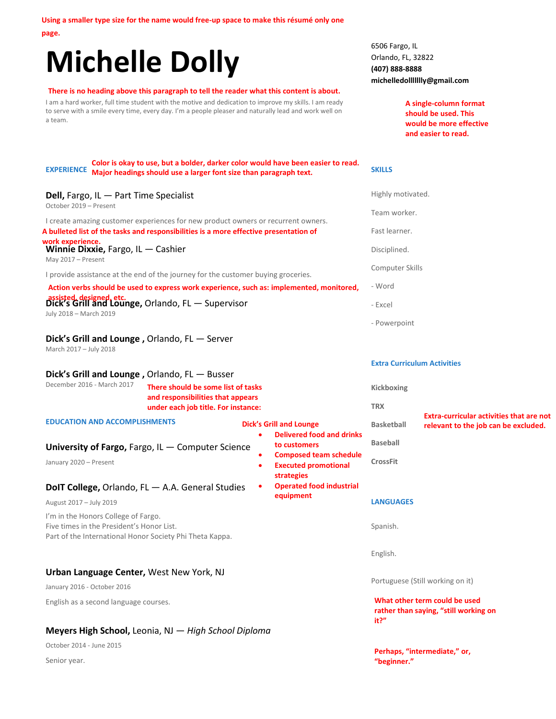**Using a smaller type size for the name would free-up space to make this résumé only one** 

**page.** 

# **Michelle Dolly**

#### **There is no heading above this paragraph to tell the reader what this content is about.**

I am a hard worker, full time student with the motive and dedication to improve my skills. I am ready to serve with a smile every time, every day. I'm a people pleaser and naturally lead and work well on a team.

**EXPERIENCE Major headings should use a larger font size than paragraph text. Color is okay to use, but a bolder, darker color would have been easier to read.** 

#### **Dell,** Fargo, IL -October 2019 - Prese

# **Dick's Grill and**

#### **Dick's Grill and**

### 6506 Fargo, IL Orlando, FL, 32822 **(407) 888-8888 michelledollllllly@gmail.com**

**Perhaps, "intermediate," or,**

**"beginner."**

**A single-column format should be used. This would be more effective and easier to read.** 

#### **SKILLS**

| Dell, Fargo, IL - Part Time Specialist<br>October 2019 - Present                                                                             |                                                                                                                |                        |                                                                            | Highly motivated.                                                              |                                                                                         |
|----------------------------------------------------------------------------------------------------------------------------------------------|----------------------------------------------------------------------------------------------------------------|------------------------|----------------------------------------------------------------------------|--------------------------------------------------------------------------------|-----------------------------------------------------------------------------------------|
| I create amazing customer experiences for new product owners or recurrent owners.                                                            |                                                                                                                |                        |                                                                            | Team worker.                                                                   |                                                                                         |
| A bulleted list of the tasks and responsibilities is a more effective presentation of                                                        |                                                                                                                |                        |                                                                            | Fast learner.                                                                  |                                                                                         |
| work experience.<br>Winnie Dixxie, Fargo, $IL$ - Cashier<br>May 2017 - Present                                                               |                                                                                                                |                        |                                                                            | Disciplined.                                                                   |                                                                                         |
| I provide assistance at the end of the journey for the customer buying groceries.                                                            |                                                                                                                |                        | Computer Skills                                                            |                                                                                |                                                                                         |
| Action verbs should be used to express work experience, such as: implemented, monitored,                                                     |                                                                                                                |                        |                                                                            | - Word                                                                         |                                                                                         |
| assisted, designed, etc.<br>Dick's Grill and Lounge, Orlando, FL — Supervisor<br>July 2018 - March 2019                                      |                                                                                                                |                        |                                                                            | - Excel                                                                        |                                                                                         |
|                                                                                                                                              |                                                                                                                |                        |                                                                            | - Powerpoint                                                                   |                                                                                         |
| Dick's Grill and Lounge, Orlando, FL - Server<br>March 2017 - July 2018                                                                      |                                                                                                                |                        |                                                                            |                                                                                |                                                                                         |
|                                                                                                                                              |                                                                                                                |                        |                                                                            | <b>Extra Curriculum Activities</b>                                             |                                                                                         |
| Dick's Grill and Lounge, Orlando, FL - Busser<br>December 2016 - March 2017                                                                  | There should be some list of tasks<br>and responsibilities that appears<br>under each job title. For instance: |                        |                                                                            | Kickboxing                                                                     |                                                                                         |
|                                                                                                                                              |                                                                                                                |                        |                                                                            | <b>TRX</b>                                                                     |                                                                                         |
| <b>EDUCATION AND ACCOMPLISHMENTS</b>                                                                                                         |                                                                                                                |                        | Dick's Grill and Lounge<br><b>Delivered food and drinks</b>                | <b>Basketball</b>                                                              | <b>Extra-curricular activities that are not</b><br>relevant to the job can be excluded. |
| University of Fargo, Fargo, IL - Computer Science                                                                                            |                                                                                                                |                        | to customers                                                               | <b>Baseball</b>                                                                |                                                                                         |
| January 2020 - Present                                                                                                                       |                                                                                                                | $\bullet$<br>$\bullet$ | <b>Composed team schedule</b><br><b>Executed promotional</b><br>strategies | <b>CrossFit</b>                                                                |                                                                                         |
| DoIT College, Orlando, FL - A.A. General Studies                                                                                             |                                                                                                                | $\bullet$              | <b>Operated food industrial</b>                                            |                                                                                |                                                                                         |
| August 2017 - July 2019                                                                                                                      |                                                                                                                |                        | equipment                                                                  | <b>LANGUAGES</b>                                                               |                                                                                         |
| I'm in the Honors College of Fargo.<br>Five times in the President's Honor List.<br>Part of the International Honor Society Phi Theta Kappa. |                                                                                                                |                        |                                                                            | Spanish.                                                                       |                                                                                         |
|                                                                                                                                              |                                                                                                                |                        |                                                                            | English.                                                                       |                                                                                         |
| Urban Language Center, West New York, NJ                                                                                                     |                                                                                                                |                        |                                                                            |                                                                                |                                                                                         |
| January 2016 - October 2016                                                                                                                  |                                                                                                                |                        | Portuguese (Still working on it)                                           |                                                                                |                                                                                         |
| English as a second language courses.                                                                                                        |                                                                                                                |                        |                                                                            | What other term could be used<br>rather than saying, "still working on<br>it?" |                                                                                         |

## **Meyers High School,** Leonia, NJ — *High School Diploma*

October 2014 - June 2015 Senior year.